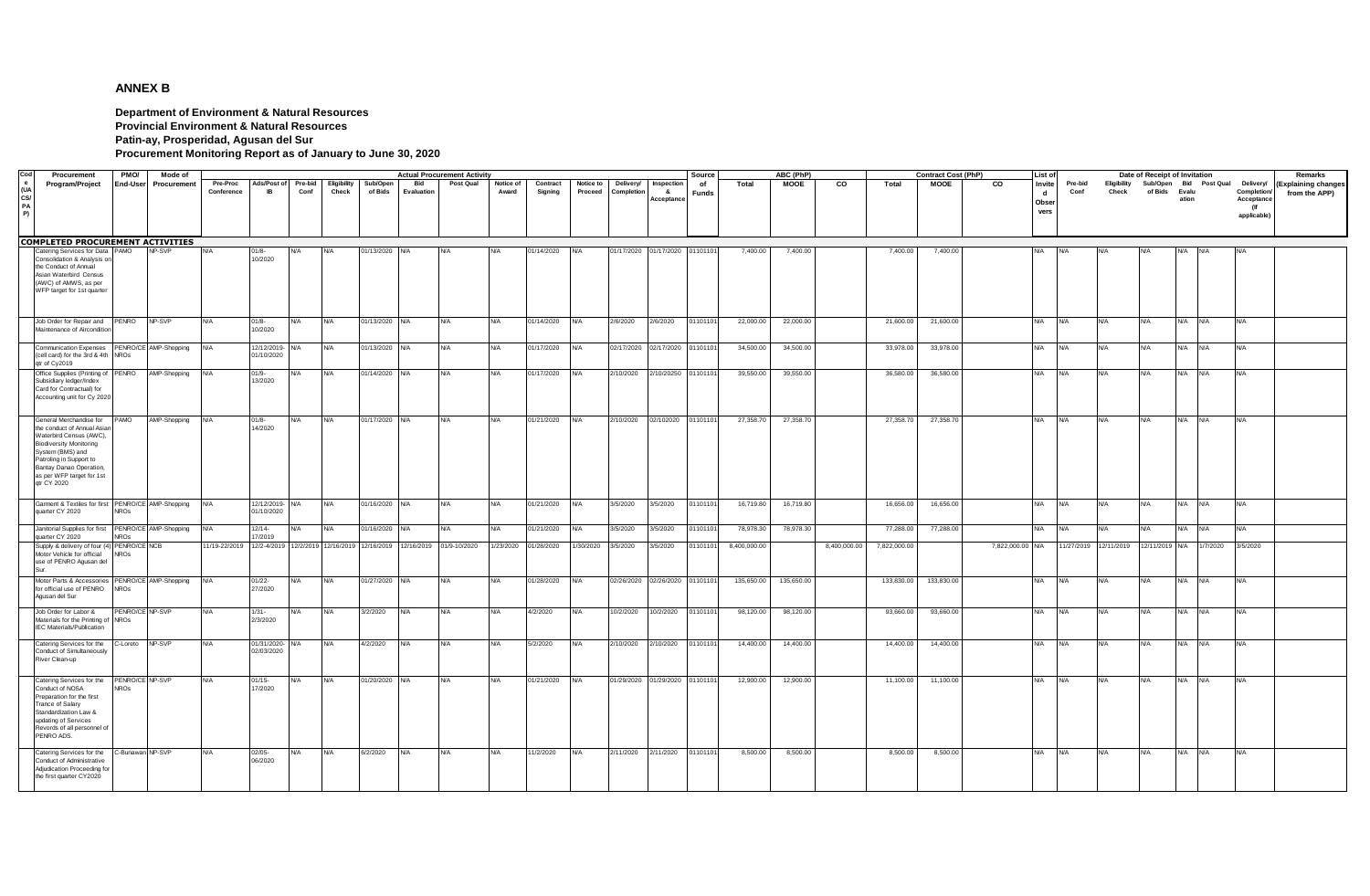## **ANNEX B**

**Department of Environment & Natural Resources Provincial Environment & Natural Resources Patin-ay, Prosperidad, Agusan del Sur**

**Procurement Monitoring Report as of January to June 30, 2020**

| Cod                    | Procurement                                                                                                                                                                                                                                    | PMO/                           | Mode of               |                                                                      |                               |                 |                      |                     |                   | <b>Actual Procurement Activity</b> |                    | Source<br>ABC (PhP) |                      |                                |                                 |             |              |             |              |              | <b>Contract Cost (PhP)</b> |                  | List of                                |                 |                      | Date of Receipt of Invitation |                                               |                                                             | Remarks                              |
|------------------------|------------------------------------------------------------------------------------------------------------------------------------------------------------------------------------------------------------------------------------------------|--------------------------------|-----------------------|----------------------------------------------------------------------|-------------------------------|-----------------|----------------------|---------------------|-------------------|------------------------------------|--------------------|---------------------|----------------------|--------------------------------|---------------------------------|-------------|--------------|-------------|--------------|--------------|----------------------------|------------------|----------------------------------------|-----------------|----------------------|-------------------------------|-----------------------------------------------|-------------------------------------------------------------|--------------------------------------|
| (U)<br>CS/<br>PA<br>P) | Program/Project                                                                                                                                                                                                                                | <b>End-User</b>                | Procurement           | Pre-Proc<br>Conference                                               | Ads/Post of<br><b>IB</b>      | Pre-bid<br>Conf | Eligibility<br>Check | Sub/Oper<br>of Bids | Bid<br>Evaluation | Post Qual                          | Notice of<br>Award | Contract<br>Signing | Notice to<br>Proceed | Delivery/<br>Completion        | Inspection<br>- &<br>Acceptance | of<br>Funds | Total        | <b>MOOE</b> | CO           | Total        | <b>MOOE</b>                | $\overline{c}$   | Invite<br>$\mathbf d$<br>Obser<br>vers | Pre-bid<br>Conf | Eligibility<br>Check | of Bids                       | Sub/Open Bid Post Qual<br>Evalu<br>ation      | Delivery/<br>Completion<br>Acceptance<br>(lf<br>applicable) | (Explaining changes<br>from the APP) |
|                        | <b>COMPLETED PROCUREMENT ACTIVITIES</b>                                                                                                                                                                                                        |                                |                       |                                                                      |                               |                 |                      |                     |                   |                                    |                    |                     |                      |                                |                                 |             |              |             |              |              |                            |                  |                                        |                 |                      |                               |                                               |                                                             |                                      |
|                        | Catering Services for Data PAMO<br>Consolidation & Analysis or<br>the Conduct of Annual<br>Asian Waterbird Census<br>(AWC) of AMWS, as per<br>WFP target for 1st quarter                                                                       |                                | NP-SVP                |                                                                      | $01/8 -$<br>10/2020           | N/A             | N/A                  | 01/13/2020 N/A      |                   |                                    | N/A                | 01/14/2020          | N/A                  | 01/17/2020 01/17/2020 01101101 |                                 |             | 7,400.00     | 7,400.00    |              | 7,400.00     | 7,400.00                   |                  | <b>N/A</b>                             | <b>N/A</b>      | N/A                  | <b>N/A</b>                    | N/A<br>N/A                                    | N/A                                                         |                                      |
|                        | Job Order for Repair and<br>Maintenance of Aircondition                                                                                                                                                                                        | PENRO                          | NP-SVP                | <b>N/A</b>                                                           | $01/8 -$<br>10/2020           | N/A             | <b>N/A</b>           | 01/13/2020 N/A      |                   | N/A                                | <b>N/A</b>         | 01/14/2020          | N/A                  | 2/6/2020                       | 2/6/2020                        | 01101101    | 22,000.00    | 22,000.00   |              | 21,600.00    | 21,600.00                  |                  | <b>N/A</b>                             | <b>N/A</b>      | <b>N/A</b>           | <b>N/A</b>                    | N/A N/A                                       | N/A                                                         |                                      |
|                        | <b>Communication Expenses</b><br>(cell card) for the 3rd & 4th NROs<br>gtr of Cy2019                                                                                                                                                           |                                | PENRO/CE AMP-Shopping | <b>N/A</b>                                                           | 12/12/2019-<br>01/10/2020     | N/A             | <b>N/A</b>           | 01/13/2020          | <b>N/A</b>        | N/A                                | <b>N/A</b>         | 01/17/2020          | N/A                  | 02/17/2020                     | 02/17/2020                      | 0110110     | 34,500.00    | 34,500.00   |              | 33,978.00    | 33,978.00                  |                  | <b>N/A</b>                             | <b>N/A</b>      | <b>N/A</b>           | <b>N/A</b>                    | N/A N/A                                       | <b>N/A</b>                                                  |                                      |
|                        | Office Supplies (Printing of PENRO<br>Subsidiary ledger/Index<br>Card for Contractual) for<br>Accounting unit for Cy 2020                                                                                                                      |                                | AMP-Shopping          | N/A                                                                  | $01/9 -$<br>13/2020           | N/A             | <b>N/A</b>           | 01/14/2020 N/A      |                   | N/A                                | <b>N/A</b>         | 01/17/2020          | N/A                  | 2/10/2020                      | 2/10/20250                      | 0110110     | 39,550.00    | 39,550.00   |              | 36,580.00    | 36,580.00                  |                  | <b>N/A</b>                             | <b>N/A</b>      | <b>N/A</b>           | <b>N/A</b>                    | N/A N/A                                       | N/A                                                         |                                      |
|                        | General Merchandise for<br>the conduct of Annual Asia<br>Waterbird Census (AWC),<br><b>Biodiversity Monitoring</b><br>System (BMS) and<br>Patroling in Support to<br><b>Bantay Danao Operation</b><br>as per WFP target for 1st<br>qtr CY 2020 | PAMO                           | AMP-Shopping          | <b>N/A</b>                                                           | $01/8 -$<br>14/2020           | N/A             | <b>N/A</b>           | 01/17/2020 N/A      |                   | N/A                                | <b>N/A</b>         | 01/21/2020          | N/A                  | 2/10/2020                      | 02/102020                       | 01101101    | 27,358.70    | 27,358.70   |              | 27,358.70    | 27,358.70                  |                  | <b>N/A</b>                             | <b>N/A</b>      | <b>N/A</b>           | <b>N/A</b>                    | N/A N/A                                       | <b>N/A</b>                                                  |                                      |
|                        | Garment & Textiles for first<br>quarter CY 2020                                                                                                                                                                                                | <b>NROs</b>                    | PENRO/CE AMP-Shopping | <b>N/A</b>                                                           | 12/12/2019- N/A<br>01/10/2020 |                 | <b>N/A</b>           | 01/16/2020 N/A      |                   | N/A                                | <b>N/A</b>         | 01/21/2020          | N/A                  | 3/5/2020                       | 3/5/2020                        | 01101101    | 16,719.80    | 16,719.80   |              | 16,656.00    | 16,656.00                  |                  | <b>N/A</b>                             | <b>N/A</b>      | <b>N/A</b>           | <b>N/A</b>                    | N/A N/A                                       | <b>N/A</b>                                                  |                                      |
|                        | Janitorial Supplies for first<br>quarter CY 2020                                                                                                                                                                                               | NROs                           | PENRO/CE AMP-Shopping | <b>N/A</b>                                                           | $12/14 -$<br>17/2019          | N/A             | <b>N/A</b>           | 01/16/2020 N/A      |                   | N/A                                | N/A                | 01/21/2020          | N/A                  | 3/5/2020                       | 3/5/2020                        | 0110110     | 78,978.30    | 78,978.30   |              | 77,288.00    | 77,288.00                  |                  | <b>N/A</b>                             | <b>N/A</b>      | <b>N/A</b>           | <b>N/A</b>                    | N/A N/A                                       | <b>N/A</b>                                                  |                                      |
|                        | Supply & delivery of four (4) PENRO/CE NCB<br>Motor Vehicle for official<br>use of PENRO Agusan del                                                                                                                                            | <b>NROs</b>                    |                       | 11/19-22/2019 12/2-4/2019 12/2/2019 12/16/2019 12/16/2019 12/16/2019 |                               |                 |                      |                     |                   | 01/9-10/2020                       | 1/23/2020          | 01/28/2020          | 1/30/2020            | 3/5/2020                       | 3/5/2020                        | 01101101    | 8,400,000.00 |             | 8,400,000.00 | 7,822,000.00 |                            | 7,822,000.00 N/A |                                        |                 |                      |                               | 11/27/2019 12/11/2019 12/11/2019 N/A 1/7/2020 | 3/5/2020                                                    |                                      |
|                        | Motor Parts & Accessories<br>for official use of PENRO<br>Agusan del Sur                                                                                                                                                                       | <b>NROs</b>                    | PENRO/CE AMP-Shopping | <b>N/A</b>                                                           | $01/22 -$<br>27/2020          | N/A             | <b>N/A</b>           | 01/27/2020 N/A      |                   | N/A                                | <b>N/A</b>         | 01/28/2020          | N/A                  | 02/26/2020 02/26/2020 01101101 |                                 |             | 135,650.00   | 135,650.00  |              | 133,830.00   | 133,830.00                 |                  | <b>N/A</b>                             | <b>N/A</b>      | <b>N/A</b>           | <b>N/A</b>                    | N/A N/A                                       | <b>N/A</b>                                                  |                                      |
|                        | Job Order for Labor &<br>Materials for the Printing of NROs<br><b>IEC Materials/Publication</b>                                                                                                                                                | PENRO/CE NP-SVP                |                       | N/A                                                                  | $1/31 -$<br>2/3/2020          | N/A             | <b>N/A</b>           | 3/2/2020            | <b>N/A</b>        | N/A                                | N/A                | 4/2/2020            | N/A                  | 10/2/2020                      | 10/2/2020                       | 0110110     | 98,120.00    | 98,120.00   |              | 93,660.00    | 93,660.00                  |                  | <b>N/A</b>                             | <b>N/A</b>      | <b>N/A</b>           | <b>N/A</b>                    | N/A N/A                                       | <b>N/A</b>                                                  |                                      |
|                        | Catering Services for the<br>Conduct of Simultaneously<br>River Clean-up                                                                                                                                                                       | C-Loreto                       | NP-SVP                | <b>N/A</b>                                                           | 01/31/2020-<br>02/03/2020     | N/A             | <b>N/A</b>           | 4/2/2020            | N/A               | N/A                                | <b>N/A</b>         | 5/2/2020            | N/A                  | 2/10/2020                      | 2/10/2020                       | 01101101    | 14,400.00    | 14,400.00   |              | 14,400.00    | 14,400.00                  |                  | <b>N/A</b>                             | <b>N/A</b>      | <b>N/A</b>           | <b>N/A</b>                    | N/A<br><b>N/A</b>                             | N/A                                                         |                                      |
|                        | Catering Services for the<br>Conduct of NOSA<br>Preparation for the first<br>Trance of Salary<br>Standardization Law &<br>updating of Services<br>Revords of all personnel of<br>PENRO ADS.                                                    | PENRO/CE NP-SVP<br><b>NROs</b> |                       | N/A                                                                  | $01/15 -$<br>17/2020          | N/A             | <b>N/A</b>           | 01/20/2020 N/A      |                   | N/A                                | <b>N/A</b>         | 01/21/2020          | N/A                  | 01/29/2020                     | 01/29/2020                      | 01101101    | 12,900.00    | 12,900.00   |              | 11,100.00    | 11,100.00                  |                  | <b>N/A</b>                             | <b>N/A</b>      | <b>N/A</b>           | <b>N/A</b>                    | N/A N/A                                       | <b>N/A</b>                                                  |                                      |
|                        | Catering Services for the<br>Conduct of Administrative<br>Adjudication Proceeding fo<br>the first quarter CY2020                                                                                                                               | C-Bunawan NP-SVP               |                       | <b>N/A</b>                                                           | $02/05 -$<br>06/2020          | N/A             | <b>N/A</b>           | 6/2/2020            | <b>N/A</b>        | N/A                                | <b>N/A</b>         | 11/2/2020           | <b>N/A</b>           | 2/11/2020                      | 2/11/2020                       | 01101101    | 8,500.00     | 8,500.00    |              | 8,500.00     | 8,500.00                   |                  | <b>N/A</b>                             | <b>N/A</b>      | <b>N/A</b>           | <b>N/A</b>                    | <b>N/A</b><br><b>INA</b>                      | <b>N/A</b>                                                  |                                      |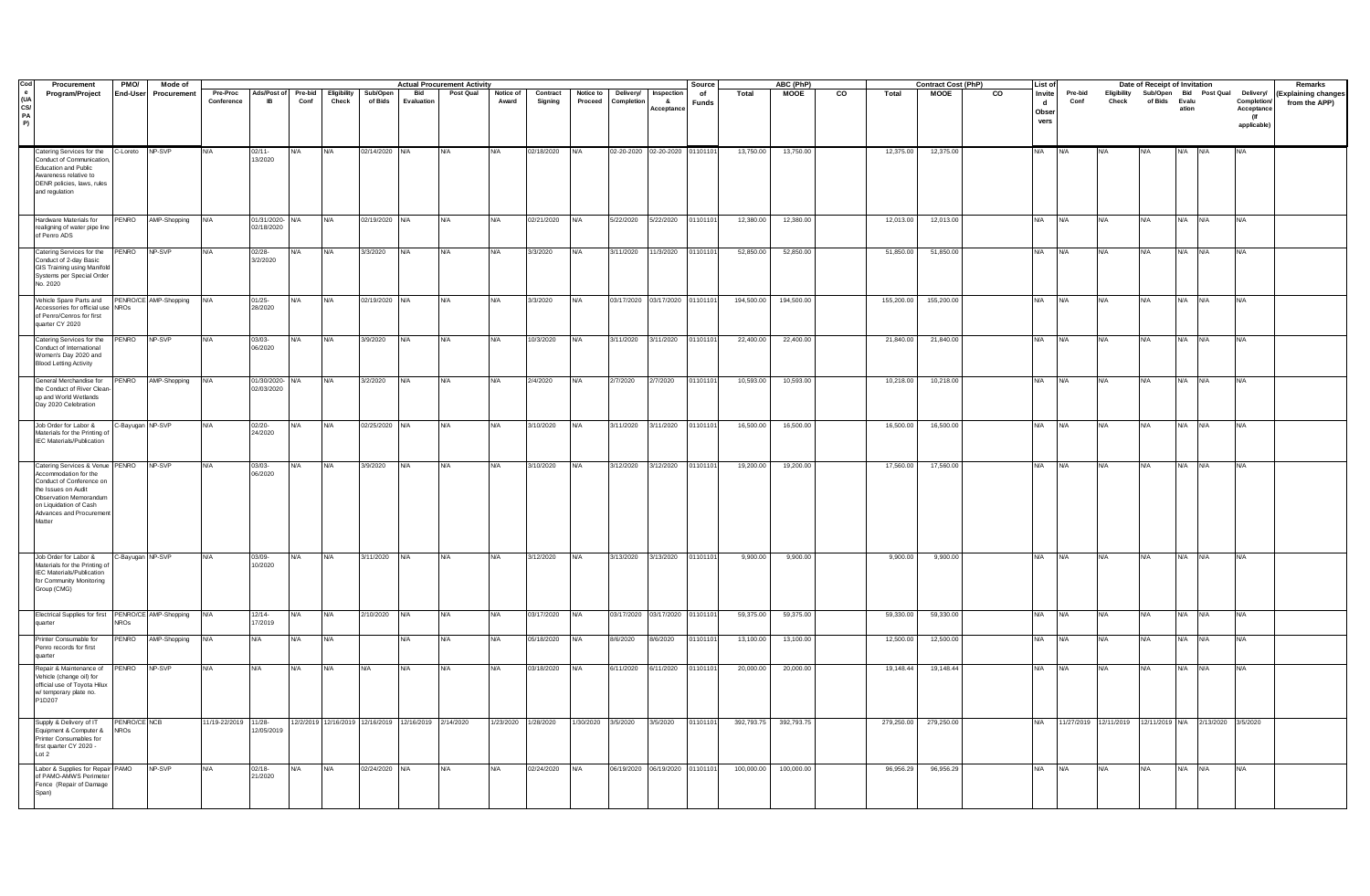| Cod              | Procurement                                                                                                                                                                                           | PMO/                        | Mode of               | <b>Actual Procurement Activity</b><br>ABC (PhP)<br><b>Contract Cost (PhP)</b><br>Source<br><b>List of</b> |                               |                 |                      |                     |                                                      |            |                     |                     |                      |                                |                               |                    | Date of Receipt of Invitation |             |             | Remarks     |    |                             |                 |                                                         |                                                               |            |            |                                                 |                                      |
|------------------|-------------------------------------------------------------------------------------------------------------------------------------------------------------------------------------------------------|-----------------------------|-----------------------|-----------------------------------------------------------------------------------------------------------|-------------------------------|-----------------|----------------------|---------------------|------------------------------------------------------|------------|---------------------|---------------------|----------------------|--------------------------------|-------------------------------|--------------------|-------------------------------|-------------|-------------|-------------|----|-----------------------------|-----------------|---------------------------------------------------------|---------------------------------------------------------------|------------|------------|-------------------------------------------------|--------------------------------------|
| (UA<br>CS/<br>PA | Program/Project                                                                                                                                                                                       | End-User                    | Procurement           | Pre-Proc<br>Conference                                                                                    | Ads/Post of<br>IB             | Pre-bid<br>Conf | Eligibility<br>Check | Sub/Open<br>of Bids | Bid<br>Evaluation                                    | Post Qual  | Notice of<br>Award  | Contract<br>Signing | Notice to<br>Proceed | Delivery/<br>Completio         | Inspection<br>8<br>Acceptance | of<br><b>Funds</b> | Total                         | <b>MOOE</b> | co<br>Total | <b>MOOE</b> | CO | Invite<br>d<br>Obse<br>vers | Pre-bid<br>Conf | Check                                                   | Eligibility Sub/Open Bid Post Qual Delivery/<br>of Bids Evalu | ation      |            | Completion/<br>Acceptance<br>(lf<br>applicable) | (Explaining changes<br>from the APP) |
|                  | Catering Services for the<br>Conduct of Communication<br>Education and Public<br>Awareness relative to<br>DENR policies, laws, rules<br>and regulation                                                | C-Loreto NP-SVP             |                       |                                                                                                           | $02/11 -$<br>13/2020          | N/A             | <b>N/A</b>           | 02/14/2020 N/A      |                                                      | N/A        | <b>N/A</b>          | 02/18/2020          |                      | 02-20-2020 02-20-2020 01101101 |                               |                    | 13,750.00                     | 13,750.00   | 12,375.00   | 12,375.00   |    | <b>N/A</b>                  |                 |                                                         |                                                               |            |            | N/A                                             |                                      |
|                  | Hardware Materials for<br>realigning of water pipe line<br>of Penro ADS                                                                                                                               |                             | PENRO AMP-Shopping    | <b>N/A</b>                                                                                                | 01/31/2020- N/A<br>02/18/2020 |                 | <b>N/A</b>           | 02/19/2020 N/A      |                                                      | <b>N/A</b> | <b>N/A</b>          | 02/21/2020          | <b>N/A</b>           | 5/22/2020  5/22/2020  01101101 |                               |                    | 12.380.00                     | 12,380.00   | 12,013.00   | 12,013.00   |    | <b>N/A</b>                  | <b>N/A</b>      | <b>N/A</b>                                              | <b>N/A</b>                                                    | N/A N/A    |            | <b>N/A</b>                                      |                                      |
|                  | Catering Services for the<br>Conduct of 2-day Basic<br>GIS Training using Manifold<br>Systems per Special Order<br>No. 2020                                                                           | PENRO                       | NP-SVP                |                                                                                                           | $02/28 -$<br>3/2/2020         | N/A             | N/A                  | 3/3/2020            | N/A                                                  | N/A        | N/A                 | 3/3/2020            | N/A                  | 3/11/2020                      | 1/3/2020                      | 01101101           | 52,850.00                     | 52,850.00   | 51,850.00   | 51,850.00   |    | N/A.                        | ΨA.             |                                                         | N/A.                                                          | N/A        | <b>N/A</b> |                                                 |                                      |
|                  | Vehicle Spare Parts and<br>Accessories for official use NROs<br>of Penro/Cenros for first<br>quarter CY 2020                                                                                          |                             | PENRO/CE AMP-Shopping | <b>N/A</b>                                                                                                | $01/25 -$<br>28/2020          | $N/\Delta$      | <b>N/A</b>           | 02/19/2020 N/A      |                                                      | N/A        | N/A                 | 3/3/2020            | N/A                  | 03/17/2020 03/17/2020 01101101 |                               |                    | 194,500.00                    | 194,500.00  | 155,200.00  | 155,200.00  |    | <b>N/A</b>                  | <b>N/A</b>      |                                                         | <b>N/A</b>                                                    | <b>N/A</b> | <b>N/A</b> | N/A                                             |                                      |
|                  | Catering Services for the<br>Conduct of International<br>Women's Day 2020 and<br><b>Blood Letting Activity</b>                                                                                        | PENRO                       | NP-SVP                |                                                                                                           | 03/03-<br>06/2020             |                 | N/A                  | 3/9/2020            | N/A                                                  | N/A        | N/A                 | 10/3/2020           |                      | 3/11/2020                      | 3/11/2020                     | 0110110            | 22,400.00                     | 22,400.00   | 21,840.00   | 21,840.00   |    | N/A                         |                 |                                                         |                                                               |            | N/A        |                                                 |                                      |
|                  | General Merchandise for<br>the Conduct of River Clean<br>up and World Wetlands<br>Day 2020 Celebration                                                                                                | PENRO                       | AMP-Shopping          | N/A                                                                                                       | 01/30/2020- N/A<br>02/03/2020 |                 | N/A                  | 3/2/2020            | <b>N/A</b>                                           | N/A        | <b>N/A</b>          | 2/4/2020            | N/A                  | 2/7/2020                       | 2/7/2020                      | 01101101           | 10,593.00                     | 10,593.00   | 10,218.00   | 10,218.00   |    | <b>N/A</b>                  | NA              | <b>N/A</b>                                              | <b>N/A</b>                                                    | <b>N/A</b> | <b>N/A</b> | VA                                              |                                      |
|                  | Job Order for Labor &<br>Materials for the Printing of<br><b>IEC Materials/Publication</b>                                                                                                            | -Bayugan NP-SVP             |                       | <b>N/A</b>                                                                                                | 02/20-<br>24/2020             | N/A             | <b>N/A</b>           | 02/25/2020          | <b>N/A</b>                                           | N/A        | <b>N/A</b>          | 3/10/2020           | N/A                  | 3/11/2020                      | 3/11/2020                     | 01101101           | 16,500.00                     | 16,500.00   | 16,500.00   | 16,500.00   |    | <b>N/A</b>                  | <b>N/A</b>      | <b>N/A</b>                                              | <b>N/A</b>                                                    | <b>N/A</b> | <b>N/A</b> | <b>N/A</b>                                      |                                      |
|                  | Catering Services & Venue PENRO<br>Accommodation for the<br>Conduct of Conference on<br>the Issues on Audit<br>Observation Memorandum<br>on Liquidation of Cash<br>Advances and Procurement<br>Matter |                             | NP-SVP                |                                                                                                           | 03/03-<br>06/2020             | N/A             | <b>N/A</b>           | 3/9/2020            | <b>N/A</b>                                           | N/A        | <b>N/A</b>          | 3/10/2020           | N/A                  | 3/12/2020                      | 3/12/2020                     | 01101101           | 19,200.00                     | 19,200.00   | 17,560.00   | 17,560.00   |    | <b>N/A</b>                  | NA              | N/A                                                     | <b>N/A</b>                                                    | <b>N/A</b> | <b>N/A</b> |                                                 |                                      |
|                  | Job Order for Labor &<br>Materials for the Printing of<br><b>IFC Materials/Publication</b><br>for Community Monitoring<br>Group (CMG)                                                                 | -Bayugan NP-SVP             |                       | N/A                                                                                                       | 03/09-<br>0/2020              |                 | N/A                  | 3/11/2020           | <b>N/A</b>                                           | N/A        | <b>N/A</b>          | 3/12/2020           | N/A                  | 3/13/2020                      | 3/13/2020                     | 01101101           | 9,900.00                      | 9,900.00    | 9,900.00    | 9,900.00    |    | <b>N/A</b>                  | ΝA              | <b>N/A</b>                                              | N/A                                                           | <b>N/A</b> | <b>N/A</b> | N/A                                             |                                      |
|                  | Electrical Supplies for first                                                                                                                                                                         | ROs                         | PENRO/CE AMP-Shopping | <b>N/A</b>                                                                                                | 12/14-<br>17/2019             | N/A             | <b>N/A</b>           | 2/10/2020           | <b>N/A</b>                                           | N/A        | <b>N/A</b>          | 03/17/2020          | N/A                  | 03/17/2020 03/17/2020 01101101 |                               |                    | 59,375.00                     | 59,375.00   | 59,330.00   | 59,330.00   |    | <b>N/A</b>                  | <b>N/A</b>      | <b>N/A</b>                                              | <b>N/A</b>                                                    | <b>N/A</b> | <b>N/A</b> | N/A                                             |                                      |
|                  | Printer Consumable for<br>Penro records for first<br>quarter                                                                                                                                          | PENRO                       | AMP-Shopping          | N/A                                                                                                       | N/A                           | N/A             | <b>N/A</b>           |                     | <b>N/A</b>                                           | N/A        | <b>N/A</b>          | 05/18/2020          | N/A                  | 8/6/2020                       | 8/6/2020                      | 01101101           | 13,100.00                     | 13,100.00   | 12,500.00   | 12,500.00   |    | <b>N/A</b>                  | <b>N/A</b>      | NA                                                      | <b>N/A</b>                                                    | N/A N/A    |            | N/A                                             |                                      |
|                  | Repair & Maintenance of<br>Vehicle (change oil) for<br>official use of Toyota Hilux<br>w/ temporary plate no.<br>P1D207                                                                               | PENRO NP-SVP                |                       | VΑ                                                                                                        | N/A                           | N/A             | <b>N/A</b>           | <b>N/A</b>          | <b>N/A</b>                                           | N/A        | <b>N/A</b>          | 03/18/2020          | N/A                  | 6/11/2020                      | 6/11/2020                     | 01101101           | 20,000.00                     | 20,000.00   | 19,148.44   | 19,148.44   |    | <b>N/A</b>                  | <b>N/A</b>      | <b>N/A</b>                                              | <b>N/A</b>                                                    | <b>N/A</b> | <b>N/A</b> | N/A                                             |                                      |
|                  | Supply & Delivery of IT<br>quipment & Computer &<br>Printer Consumables for<br>first quarter CY 2020 -<br>Lot 2                                                                                       | PENRO/CE NCB<br><b>NROs</b> |                       | 11/19-22/2019                                                                                             | $11/28 -$<br>2/05/2019        |                 |                      |                     | 12/2/2019 12/16/2019 12/16/2019 12/16/2019 2/14/2020 |            | 1/23/2020 1/28/2020 |                     | 1/30/2020 3/5/2020   |                                | 3/5/2020                      | 01101101           | 392,793.75                    | 392,793.75  | 279,250.00  | 279,250.00  |    | <b>N/A</b>                  |                 | 11/27/2019 12/11/2019 12/11/2019 N/A 2/13/2020 3/5/2020 |                                                               |            |            |                                                 |                                      |
|                  | Labor & Supplies for Repair PAMO<br>of PAMO-AMWS Perimeter<br>Fence (Repair of Damage<br>Span)                                                                                                        |                             | NP-SVP                |                                                                                                           | $02/18 -$<br>21/2020          | $N/\Delta$      | <b>N/A</b>           | 02/24/2020 N/A      |                                                      | N/A        | <b>N/A</b>          | 02/24/2020          | <b>N/A</b>           | 06/19/2020 06/19/2020 01101101 |                               |                    | 100,000.00                    | 100,000.00  | 96,956.29   | 96,956.29   |    | <b>N/A</b>                  | NA              | NV A                                                    | <b>N/A</b>                                                    | <b>N/A</b> | <b>N/A</b> | N/A                                             |                                      |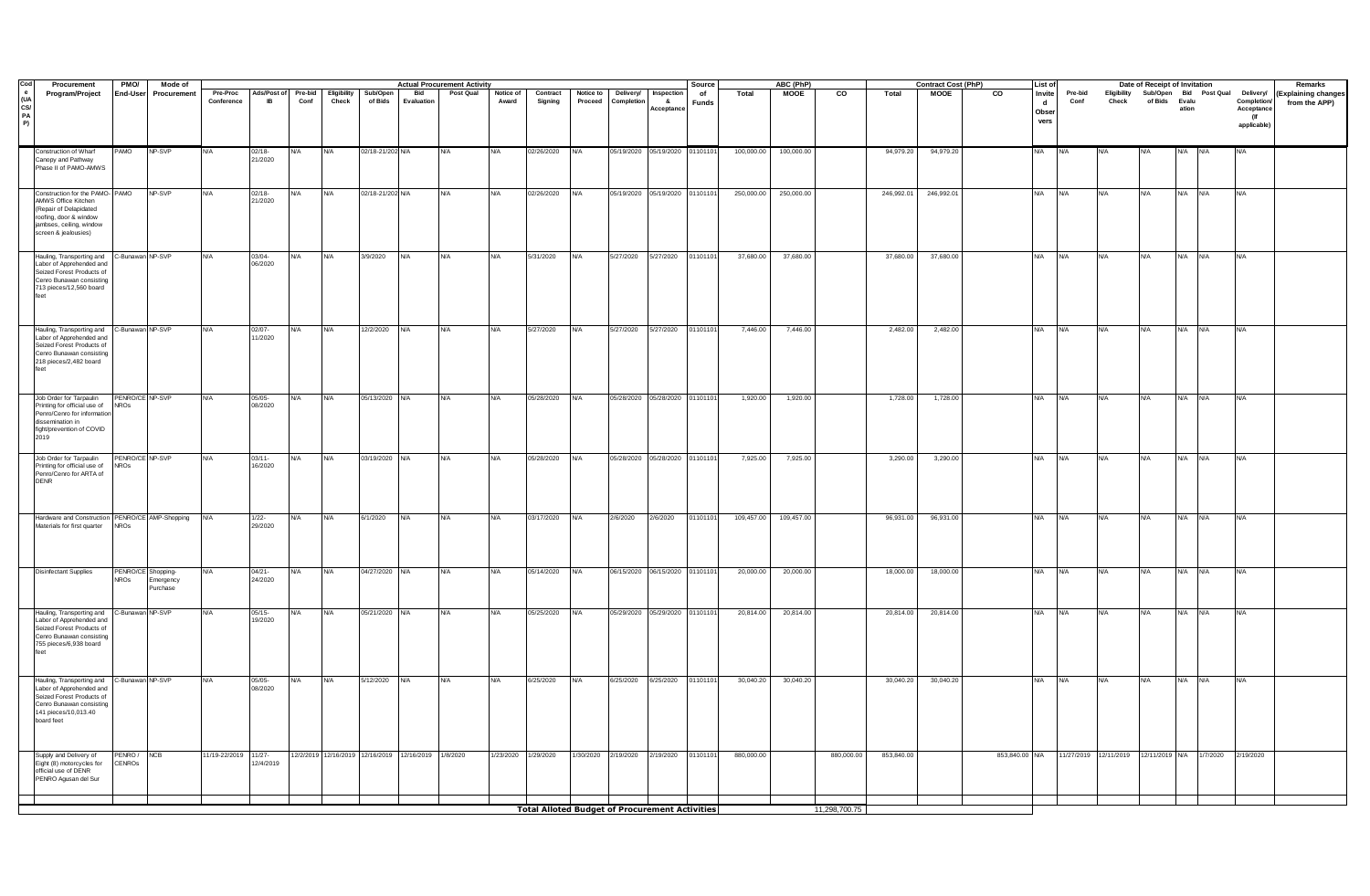| Procurement                                                                                                                                                  | <b>PMO/</b>                                           | Mode of              |                        |                          |                 |                      |                     |                                                     | <b>Actual Procurement Activity</b> |                     |                     |                      |                                |                                            | Source             |            | ABC (PhP)   |            |            | <b>Contract Cost (PhP)</b> | List of                 |                                        |                 | Date of Receipt of Invitation |                                                               |         |            | Remarks                                         |                                      |
|--------------------------------------------------------------------------------------------------------------------------------------------------------------|-------------------------------------------------------|----------------------|------------------------|--------------------------|-----------------|----------------------|---------------------|-----------------------------------------------------|------------------------------------|---------------------|---------------------|----------------------|--------------------------------|--------------------------------------------|--------------------|------------|-------------|------------|------------|----------------------------|-------------------------|----------------------------------------|-----------------|-------------------------------|---------------------------------------------------------------|---------|------------|-------------------------------------------------|--------------------------------------|
| Program/Project                                                                                                                                              | <b>End-User</b>                                       | Procurement          | Pre-Proc<br>Conference | Ads/Post of<br><b>IB</b> | Pre-bid<br>Conf | Eligibility<br>Check | Sub/Open<br>of Bids | <b>Bid</b><br>Evaluation                            | Post Qual                          | Notice of<br>Award  | Contract<br>Signing | Notice to<br>Proceed | Delivery/<br>Completion        | Inspection<br>8 <sub>1</sub><br>∖cceptance | of<br><b>Funds</b> | Total      | <b>MOOE</b> | CO         | Total      | <b>MOOE</b>                | $\overline{\mathbf{c}}$ | Invite<br>$\mathbf d$<br>Obser<br>vers | Pre-bid<br>Conf | Check                         | Eligibility Sub/Open Bid Post Qual Delivery/<br>of Bids Evalu | ation   |            | Completion/<br>Acceptance<br>(If<br>applicable) | (Explaining changes<br>from the APP) |
| Construction of Wharf<br>Canopy and Pathway<br>Phase II of PAMO-AMWS                                                                                         | PAMO                                                  | NP-SVP               | <b>N/A</b>             | $02/18 -$<br>21/2020     | N/A             | <b>N/A</b>           | 02/18-21/202 N/A    |                                                     | <b>N/A</b>                         | <b>N/A</b>          | 02/26/2020          | N/A                  |                                | 05/19/2020 05/19/2020 01101101             |                    | 100,000.00 | 100,000.00  |            | 94,979.20  | 94,979.20                  |                         | <b>N/A</b>                             |                 |                               |                                                               |         |            |                                                 |                                      |
| Construction for the PAMO-PAMO<br>AMWS Office Kitchen<br>Repair of Delapidated<br>roofing, door & window<br>jambses, ceiling, window<br>screen & jealousies) |                                                       | NP-SVP               |                        | $02/18 -$<br>21/2020     | N/A             | <b>N/A</b>           | 02/18-21/202 N/A    |                                                     |                                    | <b>N/A</b>          | 02/26/2020          | N/A                  |                                | 05/19/2020 05/19/2020 01101101             |                    | 250,000.00 | 250,000.00  |            | 246,992.01 | 246,992.01                 |                         | <b>N/A</b>                             | <b>N/A</b>      | <b>N/A</b>                    | <b>N/A</b>                                                    |         |            |                                                 |                                      |
| Hauling, Transporting and C-Bunawan NP-SVP<br>Labor of Apprehended and<br>Seized Forest Products of<br>Cenro Bunawan consisting<br>713 pieces/12,560 board   |                                                       |                      |                        | $03/04 -$<br>06/2020     | N/A             | <b>N/A</b>           | 3/9/2020            | <b>N/A</b>                                          | <b>N/A</b>                         | <b>N/A</b>          | 5/31/2020           | N/A                  |                                | 5/27/2020 5/27/2020 01101101               |                    | 37,680.00  | 37,680.00   |            | 37,680.00  | 37,680.00                  |                         | <b>N/A</b>                             | <b>N/A</b>      | N/A                           | <b>N/A</b>                                                    | N/A N/A |            | N/A                                             |                                      |
| Hauling, Transporting and C-Bunawan NP-SVP<br>Labor of Apprehended and<br>Seized Forest Products of<br>Cenro Bunawan consisting<br>218 pieces/2,482 board    |                                                       |                      | N/A                    | $02/07 -$<br>11/2020     | N/A             | <b>N/A</b>           | 12/2/2020           | <b>N/A</b>                                          | <b>N/A</b>                         | <b>N/A</b>          | 5/27/2020           | N/A                  | 5/27/2020                      | 5/27/2020 01101101                         |                    | 7,446.00   | 7,446.00    |            | 2,482.00   | 2,482.00                   |                         | <b>N/A</b>                             | <b>N/A</b>      | <b>N/A</b>                    | <b>N/A</b>                                                    | N/A N/A |            | N/A                                             |                                      |
| Job Order for Tarpaulin<br>Printing for official use of<br>Penro/Cenro for informatio<br>dissemination in<br>fight/prevention of COVID<br>2019               | PENRO/CE NP-SVP<br><b>NROs</b>                        |                      | <b>N/A</b>             | $05/05 -$<br>08/2020     | N/A             | <b>N/A</b>           | 05/13/2020 N/A      |                                                     | <b>N/A</b>                         | <b>N/A</b>          | 05/28/2020          | N/A                  | 05/28/2020 05/28/2020 01101101 |                                            |                    | 1,920.00   | 1,920.00    |            | 1,728.00   | 1,728.00                   |                         | <b>N/A</b>                             | <b>N/A</b>      | N/A                           | <b>N/A</b>                                                    | N/A N/A |            | N/A                                             |                                      |
| Job Order for Tarpaulin<br>Printing for official use of<br>Penro/Cenro for ARTA of<br><b>DENR</b>                                                            | PENRO/CE NP-SVP<br><b>NROs</b>                        |                      | <b>N/A</b>             | $03/11 -$<br>16/2020     | N/A             | <b>N/A</b>           | 03/19/2020 N/A      |                                                     | <b>N/A</b>                         | <b>N/A</b>          | 05/28/2020          | <b>N/A</b>           | 05/28/2020 05/28/2020 01101101 |                                            |                    | 7,925.00   | 7,925.00    |            | 3,290.00   | 3,290.00                   |                         | <b>N/A</b>                             | <b>N/A</b>      | <b>N/A</b>                    | <b>N/A</b>                                                    | N/A N/A |            | N/A                                             |                                      |
| Hardware and Construction PENRO/CE AMP-Shopping<br>Materials for first quarter                                                                               | <b>NROs</b>                                           |                      | <b>N/A</b>             | $1/22 -$<br>29/2020      | N/A             | <b>N/A</b>           | 6/1/2020            | N/A                                                 | N/A                                | <b>N/A</b>          | 03/17/2020          | <b>N/A</b>           | 2/6/2020                       | 2/6/2020                                   | 01101101           | 109,457.00 | 109,457.00  |            | 96,931.00  | 96,931.00                  |                         | <b>N/A</b>                             | <b>N/A</b>      | <b>N/A</b>                    | <b>N/A</b>                                                    | N/A N/A |            | N/A                                             |                                      |
| <b>Disinfectant Supplies</b>                                                                                                                                 | PENRO/CE Shopping-<br>NROs                            | Emergency<br>urchase | <b>N/A</b>             | $04/21 -$<br>24/2020     | N/A             | <b>N/A</b>           | 04/27/2020 N/A      |                                                     | N/A                                | <b>N/A</b>          | 05/14/2020          | N/A                  | 06/15/2020 06/15/2020 01101101 |                                            |                    | 20,000.00  | 20,000.00   |            | 18,000.00  | 18,000.00                  |                         | <b>N/A</b>                             | <b>N/A</b>      | <b>N/A</b>                    | <b>N/A</b>                                                    | N/A N/A |            | <b>N/A</b>                                      |                                      |
| Hauling, Transporting and<br>Labor of Apprehended and<br>Seized Forest Products of<br>Cenro Bunawan consisting<br>755 pieces/6,938 board                     | C-Bunawan NP-SVP                                      |                      |                        | 05/15-<br>19/2020        | N/A             | <b>N/A</b>           | 05/21/2020 N/A      |                                                     | N/A                                | N/A                 | 05/25/2020          | N/A                  |                                | 05/29/2020 05/29/2020 01101101             |                    | 20,814.00  | 20,814.00   |            | 20,814.00  | 20,814.00                  |                         | <b>N/A</b>                             | <b>N/A</b>      | N/A                           | N/A                                                           | N/A N/A |            | N/A                                             |                                      |
| Hauling, Transporting and<br>Labor of Apprehended and<br>Seized Forest Products of<br>Cenro Bunawan consisting<br>141 pieces/10,013.40<br>board feet         | C-Bunawan NP-SVP                                      |                      |                        | $05/05 -$<br>08/2020     |                 | <b>N/A</b>           | 5/12/2020           | <b>N/A</b>                                          | N/A                                | N/A                 | 6/25/2020           | <b>N/A</b>           | 6/25/2020                      | 6/25/2020 01101101                         |                    | 30,040.20  | 30,040.20   |            | 30,040.20  | 30,040.20                  |                         | <b>N/A</b>                             | <b>N/A</b>      | N/A                           | <b>N/A</b>                                                    | N/A     | <b>N/A</b> | ٧A                                              |                                      |
| Supply and Delivery of<br>Eight (8) motorcycles for<br>official use of DENR<br>PENRO Agusan del Sur                                                          | PENRO/<br><b>CENROS</b>                               | NCB                  | 11/19-22/2019          | $11/27 -$<br>12/4/2019   |                 |                      |                     | 12/2/2019 12/16/2019 12/16/2019 12/16/2019 1/8/2020 |                                    | 1/23/2020 1/29/2020 |                     | 1/30/2020            | 2/19/2020                      | 2/19/2020                                  | 01101101           | 880,000.00 |             | 880,000.00 | 853,840.00 |                            | 853,840.00 N/A          |                                        | 11/27/2019      | 12/11/2019                    | 12/11/2019 N/A                                                |         | 1/7/2020   | 2/19/2020                                       |                                      |
|                                                                                                                                                              | <b>Total Alloted Budget of Procurement Activities</b> |                      |                        |                          |                 |                      |                     |                                                     |                                    |                     |                     |                      |                                |                                            | 11,298,700.75      |            |             |            |            |                            |                         |                                        |                 |                               |                                                               |         |            |                                                 |                                      |